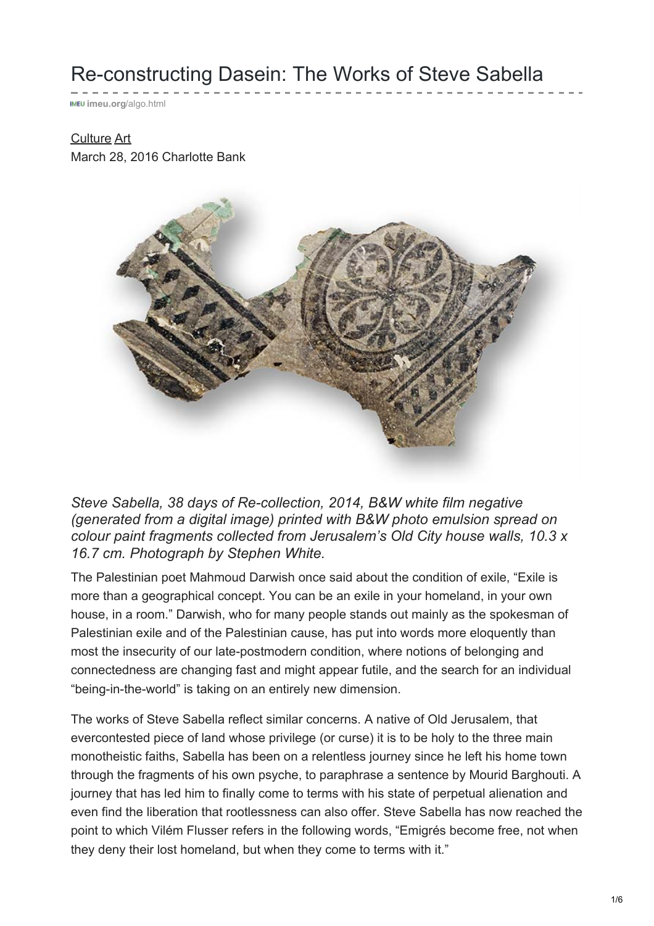## Re-constructing Dasein: The Works of Steve Sabella

**imeu.org**[/algo.html](https://imeu.org/article/re-constructing-dasein-the-works-of-steve-sabella)

## [Culture](https://imeu.org/topic/category/culture) [Art](https://imeu.org/topic/category/art)

March 28, 2016 Charlotte Bank



*Steve Sabella, 38 days of Re-collection, 2014, B&W white film negative (generated from a digital image) printed with B&W photo emulsion spread on colour paint fragments collected from Jerusalem's Old City house walls, 10.3 x 16.7 cm. Photograph by Stephen White.*

The Palestinian poet Mahmoud Darwish once said about the condition of exile, "Exile is more than a geographical concept. You can be an exile in your homeland, in your own house, in a room." Darwish, who for many people stands out mainly as the spokesman of Palestinian exile and of the Palestinian cause, has put into words more eloquently than most the insecurity of our late-postmodern condition, where notions of belonging and connectedness are changing fast and might appear futile, and the search for an individual "being-in-the-world" is taking on an entirely new dimension.

The works of Steve Sabella reflect similar concerns. A native of Old Jerusalem, that evercontested piece of land whose privilege (or curse) it is to be holy to the three main monotheistic faiths, Sabella has been on a relentless journey since he left his home town through the fragments of his own psyche, to paraphrase a sentence by Mourid Barghouti. A journey that has led him to finally come to terms with his state of perpetual alienation and even find the liberation that rootlessness can also offer. Steve Sabella has now reached the point to which Vilém Flusser refers in the following words, "Emigrés become free, not when they deny their lost homeland, but when they come to terms with it."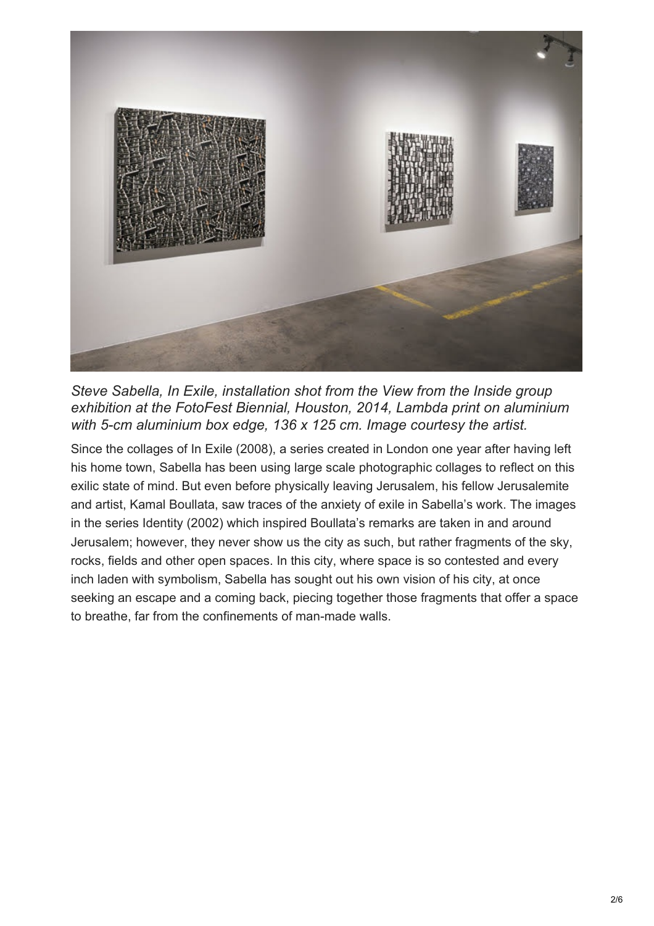

*Steve Sabella, In Exile, installation shot from the View from the Inside group exhibition at the FotoFest Biennial, Houston, 2014, Lambda print on aluminium with 5-cm aluminium box edge, 136 x 125 cm. Image courtesy the artist.*

Since the collages of In Exile (2008), a series created in London one year after having left his home town, Sabella has been using large scale photographic collages to reflect on this exilic state of mind. But even before physically leaving Jerusalem, his fellow Jerusalemite and artist, Kamal Boullata, saw traces of the anxiety of exile in Sabella's work. The images in the series Identity (2002) which inspired Boullata's remarks are taken in and around Jerusalem; however, they never show us the city as such, but rather fragments of the sky, rocks, fields and other open spaces. In this city, where space is so contested and every inch laden with symbolism, Sabella has sought out his own vision of his city, at once seeking an escape and a coming back, piecing together those fragments that offer a space to breathe, far from the confinements of man-made walls.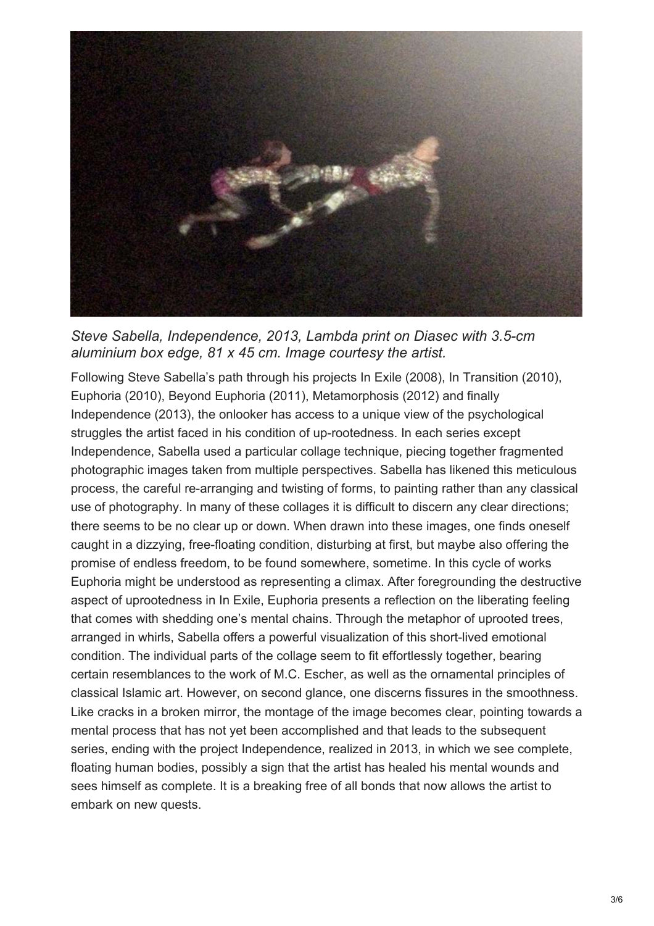

*Steve Sabella, Independence, 2013, Lambda print on Diasec with 3.5-cm aluminium box edge, 81 x 45 cm. Image courtesy the artist.*

Following Steve Sabella's path through his projects In Exile (2008), In Transition (2010), Euphoria (2010), Beyond Euphoria (2011), Metamorphosis (2012) and finally Independence (2013), the onlooker has access to a unique view of the psychological struggles the artist faced in his condition of up-rootedness. In each series except Independence, Sabella used a particular collage technique, piecing together fragmented photographic images taken from multiple perspectives. Sabella has likened this meticulous process, the careful re-arranging and twisting of forms, to painting rather than any classical use of photography. In many of these collages it is difficult to discern any clear directions; there seems to be no clear up or down. When drawn into these images, one finds oneself caught in a dizzying, free-floating condition, disturbing at first, but maybe also offering the promise of endless freedom, to be found somewhere, sometime. In this cycle of works Euphoria might be understood as representing a climax. After foregrounding the destructive aspect of uprootedness in In Exile, Euphoria presents a reflection on the liberating feeling that comes with shedding one's mental chains. Through the metaphor of uprooted trees, arranged in whirls, Sabella offers a powerful visualization of this short-lived emotional condition. The individual parts of the collage seem to fit effortlessly together, bearing certain resemblances to the work of M.C. Escher, as well as the ornamental principles of classical Islamic art. However, on second glance, one discerns fissures in the smoothness. Like cracks in a broken mirror, the montage of the image becomes clear, pointing towards a mental process that has not yet been accomplished and that leads to the subsequent series, ending with the project Independence, realized in 2013, in which we see complete, floating human bodies, possibly a sign that the artist has healed his mental wounds and sees himself as complete. It is a breaking free of all bonds that now allows the artist to embark on new quests.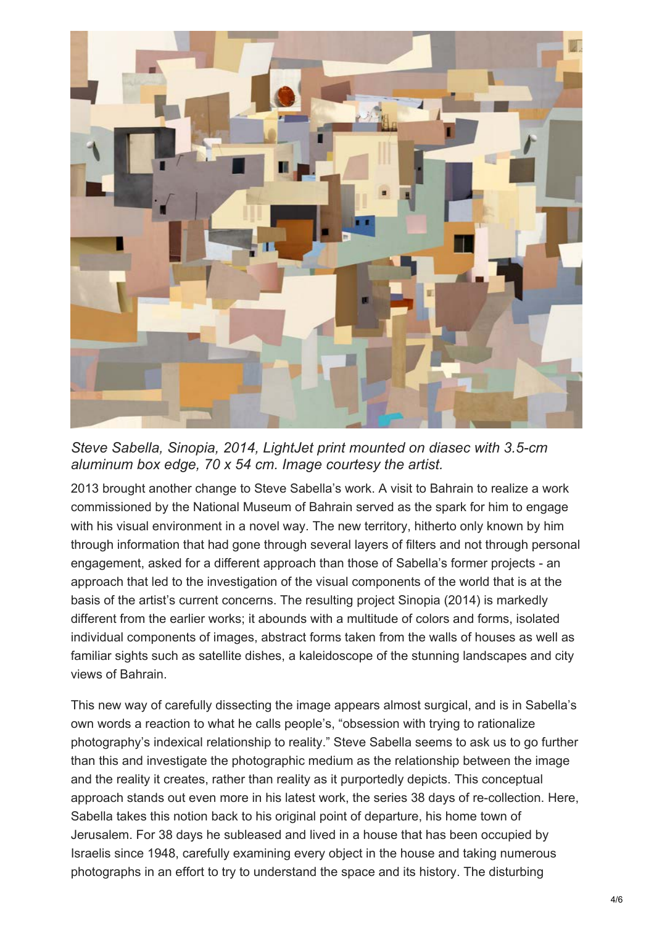

*Steve Sabella, Sinopia, 2014, LightJet print mounted on diasec with 3.5-cm aluminum box edge, 70 x 54 cm. Image courtesy the artist.*

2013 brought another change to Steve Sabella's work. A visit to Bahrain to realize a work commissioned by the National Museum of Bahrain served as the spark for him to engage with his visual environment in a novel way. The new territory, hitherto only known by him through information that had gone through several layers of filters and not through personal engagement, asked for a different approach than those of Sabella's former projects - an approach that led to the investigation of the visual components of the world that is at the basis of the artist's current concerns. The resulting project Sinopia (2014) is markedly different from the earlier works; it abounds with a multitude of colors and forms, isolated individual components of images, abstract forms taken from the walls of houses as well as familiar sights such as satellite dishes, a kaleidoscope of the stunning landscapes and city views of Bahrain.

This new way of carefully dissecting the image appears almost surgical, and is in Sabella's own words a reaction to what he calls people's, "obsession with trying to rationalize photography's indexical relationship to reality." Steve Sabella seems to ask us to go further than this and investigate the photographic medium as the relationship between the image and the reality it creates, rather than reality as it purportedly depicts. This conceptual approach stands out even more in his latest work, the series 38 days of re-collection. Here, Sabella takes this notion back to his original point of departure, his home town of Jerusalem. For 38 days he subleased and lived in a house that has been occupied by Israelis since 1948, carefully examining every object in the house and taking numerous photographs in an effort to try to understand the space and its history. The disturbing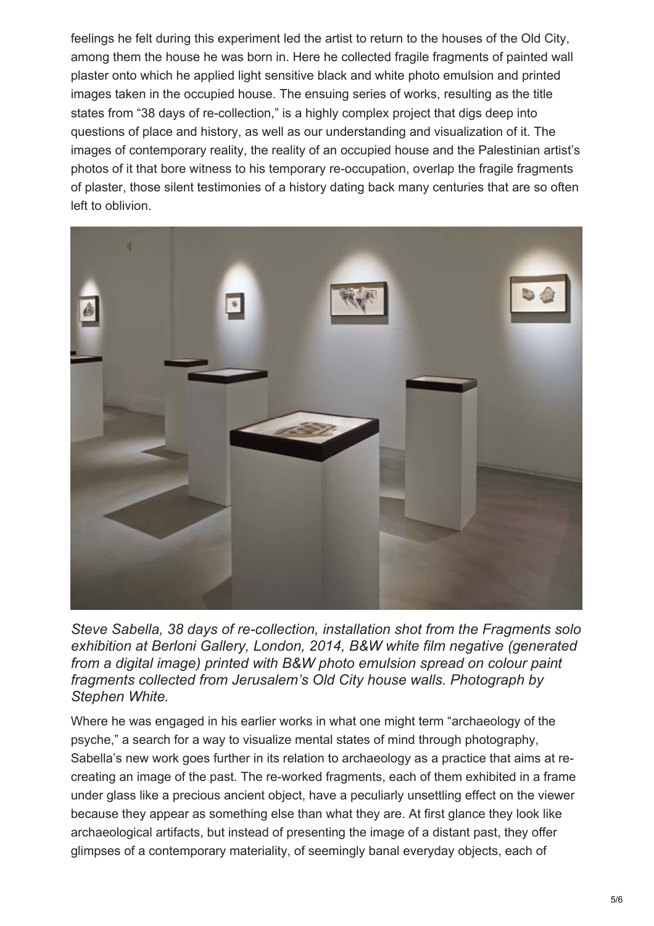feelings he felt during this experiment led the artist to return to the houses of the Old City, among them the house he was born in. Here he collected fragile fragments of painted wall plaster onto which he applied light sensitive black and white photo emulsion and printed images taken in the occupied house. The ensuing series of works, resulting as the title states from "38 days of re-collection," is a highly complex project that digs deep into questions of place and history, as well as our understanding and visualization of it. The images of contemporary reality, the reality of an occupied house and the Palestinian artist's photos of it that bore witness to his temporary re-occupation, overlap the fragile fragments of plaster, those silent testimonies of a history dating back many centuries that are so often left to oblivion.



*Steve Sabella, 38 days of re-collection, installation shot from the Fragments solo exhibition at Berloni Gallery, London, 2014, B&W white film negative (generated from a digital image) printed with B&W photo emulsion spread on colour paint fragments collected from Jerusalem's Old City house walls. Photograph by Stephen White*.

Where he was engaged in his earlier works in what one might term "archaeology of the psyche," a search for a way to visualize mental states of mind through photography, Sabella's new work goes further in its relation to archaeology as a practice that aims at recreating an image of the past. The re-worked fragments, each of them exhibited in a frame under glass like a precious ancient object, have a peculiarly unsettling effect on the viewer because they appear as something else than what they are. At first glance they look like archaeological artifacts, but instead of presenting the image of a distant past, they offer glimpses of a contemporary materiality, of seemingly banal everyday objects, each of